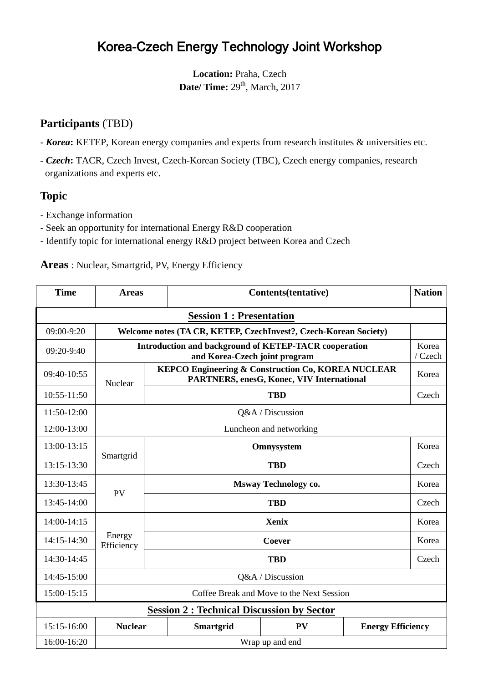# Korea-Czech Energy Technology Joint Workshop

**Location:** Praha, Czech **Date/ Time:** 29<sup>th</sup>, March, 2017

## **Participants** (TBD)

- *Korea***:** KETEP, Korean energy companies and experts from research institutes & universities etc.
- *- Czech***:** TACR, Czech Invest, Czech-Korean Society (TBC), Czech energy companies, research organizations and experts etc.

### **Topic**

- Exchange information
- Seek an opportunity for international Energy R&D cooperation
- Identify topic for international energy R&D project between Korea and Czech

#### **Areas** : Nuclear, Smartgrid, PV, Energy Efficiency

| <b>Time</b>                                      | <b>Areas</b>                                                                           |                                                                                                            | Contents(tentative) |            | <b>Nation</b>            |                  |  |
|--------------------------------------------------|----------------------------------------------------------------------------------------|------------------------------------------------------------------------------------------------------------|---------------------|------------|--------------------------|------------------|--|
| <b>Session 1: Presentation</b>                   |                                                                                        |                                                                                                            |                     |            |                          |                  |  |
| 09:00-9:20                                       | Welcome notes (TA CR, KETEP, CzechInvest?, Czech-Korean Society)                       |                                                                                                            |                     |            |                          |                  |  |
| 09:20-9:40                                       | Introduction and background of KETEP-TACR cooperation<br>and Korea-Czech joint program |                                                                                                            |                     |            |                          | Korea<br>/ Czech |  |
| 09:40-10:55                                      | Nuclear                                                                                | <b>KEPCO Engineering &amp; Construction Co, KOREA NUCLEAR</b><br>PARTNERS, enesG, Konec, VIV International |                     |            | Korea                    |                  |  |
| 10:55-11:50                                      |                                                                                        |                                                                                                            |                     | <b>TBD</b> |                          | Czech            |  |
| 11:50-12:00                                      | Q&A / Discussion                                                                       |                                                                                                            |                     |            |                          |                  |  |
| 12:00-13:00                                      | Luncheon and networking                                                                |                                                                                                            |                     |            |                          |                  |  |
| 13:00-13:15                                      |                                                                                        | Omnysystem                                                                                                 |                     |            | Korea                    |                  |  |
| 13:15-13:30                                      | Smartgrid                                                                              | <b>TBD</b>                                                                                                 |                     |            | Czech                    |                  |  |
| 13:30-13:45                                      | <b>PV</b>                                                                              | <b>Msway Technology co.</b>                                                                                |                     |            | Korea                    |                  |  |
| 13:45-14:00                                      |                                                                                        |                                                                                                            |                     | <b>TBD</b> |                          | Czech            |  |
| 14:00-14:15                                      |                                                                                        | <b>Xenix</b>                                                                                               |                     |            | Korea                    |                  |  |
| 14:15-14:30                                      | Energy<br>Efficiency                                                                   | Coever                                                                                                     |                     |            | Korea                    |                  |  |
| 14:30-14:45                                      |                                                                                        | <b>TBD</b>                                                                                                 |                     |            | Czech                    |                  |  |
| 14:45-15:00                                      | Q&A / Discussion                                                                       |                                                                                                            |                     |            |                          |                  |  |
| 15:00-15:15                                      | Coffee Break and Move to the Next Session                                              |                                                                                                            |                     |            |                          |                  |  |
| <b>Session 2: Technical Discussion by Sector</b> |                                                                                        |                                                                                                            |                     |            |                          |                  |  |
| 15:15-16:00                                      | <b>Nuclear</b>                                                                         |                                                                                                            | <b>Smartgrid</b>    | <b>PV</b>  | <b>Energy Efficiency</b> |                  |  |
| 16:00-16:20                                      | Wrap up and end                                                                        |                                                                                                            |                     |            |                          |                  |  |